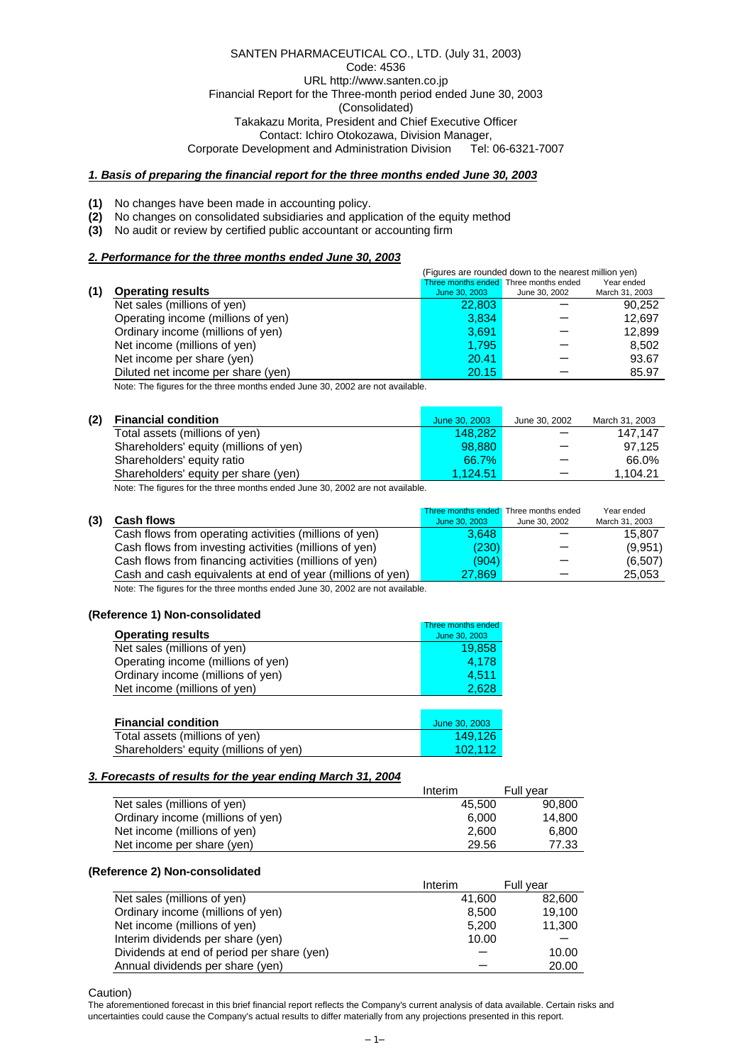SANTEN PHARMACEUTICAL CO., LTD. (July 31, 2003) Code: 4536 URL http://www.santen.co.jp Financial Report for the Three-month period ended June 30, 2003 (Consolidated) Takakazu Morita, President and Chief Executive Officer Contact: Ichiro Otokozawa, Division Manager,<br>velopment and Administration Division Tel: 06-6321-7007 Corporate Development and Administration Division

### *1. Basis of preparing the financial report for the three months ended June 30, 2003*

- **(1)** No changes have been made in accounting policy.
- **(2)** No changes on consolidated subsidiaries and application of the equity method
- **(3)** No audit or review by certified public accountant or accounting firm

### *2. Performance for the three months ended June 30, 2003*

|     |                                                                              | (Figures are rounded down to the nearest million yen) |                                       |                |  |  |
|-----|------------------------------------------------------------------------------|-------------------------------------------------------|---------------------------------------|----------------|--|--|
|     |                                                                              |                                                       | Three months ended Three months ended | Year ended     |  |  |
| (1) | <b>Operating results</b>                                                     | June 30, 2003                                         | June 30, 2002                         | March 31, 2003 |  |  |
|     | Net sales (millions of yen)                                                  | 22,803                                                |                                       | 90,252         |  |  |
|     | Operating income (millions of yen)                                           | 3.834                                                 |                                       | 12.697         |  |  |
|     | Ordinary income (millions of yen)                                            | 3,691                                                 |                                       | 12,899         |  |  |
|     | Net income (millions of yen)                                                 | 1.795                                                 |                                       | 8,502          |  |  |
|     | Net income per share (yen)                                                   | 20.41                                                 |                                       | 93.67          |  |  |
|     | Diluted net income per share (yen)                                           | 20.15                                                 |                                       | 85.97          |  |  |
|     | Note: The figures for the three menths anded June 20, 2002 are not quailable |                                                       |                                       |                |  |  |

Note: The figures for the three months ended June 30, 2002 are not available.

| (2) | <b>Financial condition</b>             | June 30, 2003 | June 30, 2002            | March 31, 2003 |
|-----|----------------------------------------|---------------|--------------------------|----------------|
|     | Total assets (millions of yen)         | 148.282       |                          | 147.147        |
|     | Shareholders' equity (millions of yen) | 98.880        |                          | 97.125         |
|     | Shareholders' equity ratio             | 66.7%         |                          | 66.0%          |
|     | Shareholders' equity per share (yen)   | 1.124.51      | $\overline{\phantom{0}}$ | 1.104.21       |
|     |                                        |               |                          |                |

Note: The figures for the three months ended June 30, 2002 are not available.

|     |                                                            |               | Three months ended Three months ended | Year ended     |
|-----|------------------------------------------------------------|---------------|---------------------------------------|----------------|
| (3) | <b>Cash flows</b>                                          | June 30, 2003 | June 30, 2002                         | March 31, 2003 |
|     | Cash flows from operating activities (millions of yen)     | 3.648         |                                       | 15.807         |
|     | Cash flows from investing activities (millions of yen)     | (230)         |                                       | (9,951)        |
|     | Cash flows from financing activities (millions of yen)     | (904)         |                                       | (6, 507)       |
|     | Cash and cash equivalents at end of year (millions of yen) | 27.869        |                                       | 25,053         |

Note: The figures for the three months ended June 30, 2002 are not available.

### **(Reference 1) Non-consolidated**

|                                        | Three months ended |
|----------------------------------------|--------------------|
| <b>Operating results</b>               | June 30, 2003      |
| Net sales (millions of yen)            | 19,858             |
| Operating income (millions of yen)     | 4,178              |
| Ordinary income (millions of yen)      | 4,511              |
| Net income (millions of yen)           | 2,628              |
|                                        |                    |
| <b>Financial condition</b>             | June 30, 2003      |
| Total assets (millions of yen)         | 149.126            |
| Shareholders' equity (millions of yen) | 102.112            |

#### *3. Forecasts of results for the year ending March 31, 2004*

|                                   | Interim | Full year |
|-----------------------------------|---------|-----------|
| Net sales (millions of yen)       | 45.500  | 90,800    |
| Ordinary income (millions of yen) | 6.000   | 14.800    |
| Net income (millions of yen)      | 2.600   | 6.800     |
| Net income per share (yen)        | 29.56   | 77.33     |

#### **(Reference 2) Non-consolidated**

|                                            | Interim | Full year |
|--------------------------------------------|---------|-----------|
| Net sales (millions of yen)                | 41,600  | 82,600    |
| Ordinary income (millions of yen)          | 8.500   | 19,100    |
| Net income (millions of yen)               | 5.200   | 11,300    |
| Interim dividends per share (yen)          | 10.00   |           |
| Dividends at end of period per share (yen) |         | 10.00     |
| Annual dividends per share (yen)           |         | 20.00     |

Caution)

The aforementioned forecast in this brief financial report reflects the Company's current analysis of data available. Certain risks and uncertainties could cause the Company's actual results to differ materially from any projections presented in this report.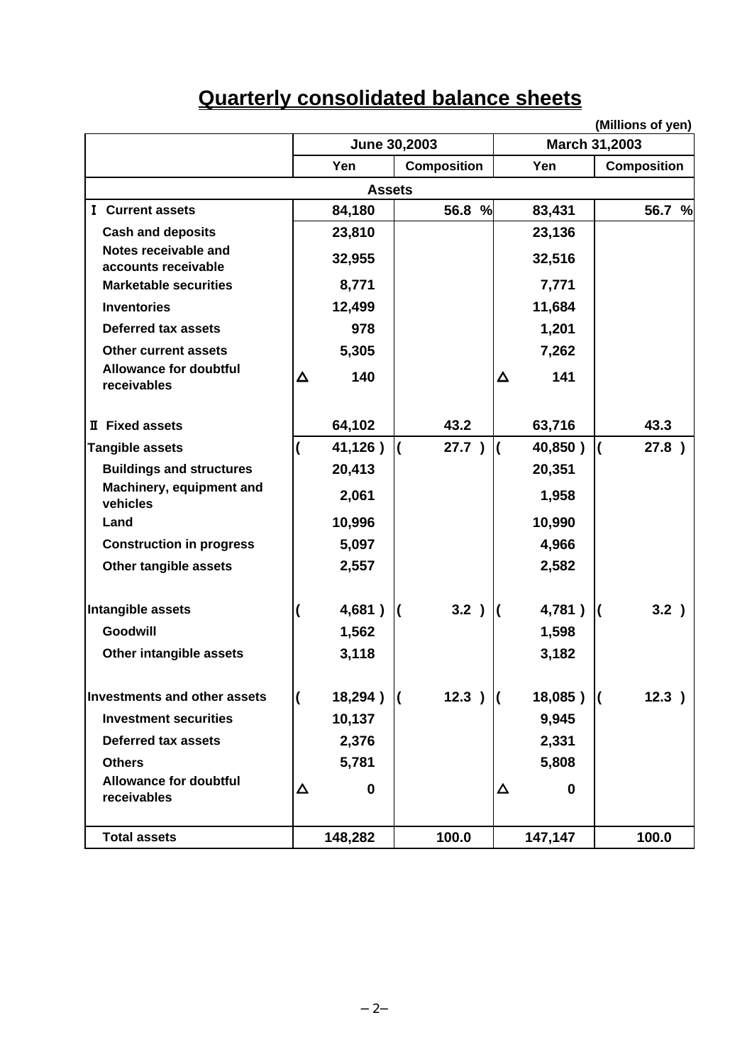| <b>Quarterly consolidated balance sheets</b> |
|----------------------------------------------|
|----------------------------------------------|

|                                              |   |                |              |                     |   |                      | (Millions of yen)        |        |
|----------------------------------------------|---|----------------|--------------|---------------------|---|----------------------|--------------------------|--------|
|                                              |   | June 30,2003   |              |                     |   | <b>March 31,2003</b> |                          |        |
|                                              |   | Yen            |              | <b>Composition</b>  |   | Yen                  | <b>Composition</b>       |        |
|                                              |   | <b>Assets</b>  |              |                     |   |                      |                          |        |
| <b>I</b> Current assets                      |   | 84,180         |              | 56.8 %              |   | 83,431               |                          | 56.7 % |
| <b>Cash and deposits</b>                     |   | 23,810         |              |                     |   | 23,136               |                          |        |
| Notes receivable and<br>accounts receivable  |   | 32,955         |              |                     |   | 32,516               |                          |        |
| <b>Marketable securities</b>                 |   | 8,771          |              |                     |   | 7,771                |                          |        |
| <b>Inventories</b>                           |   | 12,499         |              |                     |   | 11,684               |                          |        |
| <b>Deferred tax assets</b>                   |   | 978            |              |                     |   | 1,201                |                          |        |
| <b>Other current assets</b>                  |   | 5,305          |              |                     |   | 7,262                |                          |        |
| <b>Allowance for doubtful</b><br>receivables | Δ | 140            |              |                     | Δ | 141                  |                          |        |
| <b>II</b> Fixed assets                       |   | 64,102         |              | 43.2                |   | 63,716               | 43.3                     |        |
| <b>Tangible assets</b>                       |   | 41,126)        | $\mathsf{I}$ | 27.7)               |   | 40,850)              | $\overline{\mathcal{L}}$ | 27.8 ) |
| <b>Buildings and structures</b>              |   | 20,413         |              |                     |   | 20,351               |                          |        |
| Machinery, equipment and<br>vehicles         |   | 2,061          |              |                     |   | 1,958                |                          |        |
| Land                                         |   | 10,996         |              |                     |   | 10,990               |                          |        |
| <b>Construction in progress</b>              |   | 5,097          |              |                     |   | 4,966                |                          |        |
| Other tangible assets                        |   | 2,557          |              |                     |   | 2,582                |                          |        |
| Intangible assets                            |   | 4,681)         | K            | 3.2)                |   | 4,781)               | K                        | 3.2)   |
| Goodwill                                     |   | 1,562          |              |                     |   | 1,598                |                          |        |
| Other intangible assets                      |   | 3,118          |              |                     |   | 3,182                |                          |        |
| Investments and other assets                 |   | $18,294$ ) $($ |              | $12.3$ ) $\sqrt{ }$ |   | $18,085$ ) $($       |                          | 12.3)  |
| <b>Investment securities</b>                 |   | 10,137         |              |                     |   | 9,945                |                          |        |
| <b>Deferred tax assets</b>                   |   | 2,376          |              |                     |   | 2,331                |                          |        |
| <b>Others</b>                                |   | 5,781          |              |                     |   | 5,808                |                          |        |
| <b>Allowance for doubtful</b><br>receivables | Δ | 0              |              |                     | Δ | 0                    |                          |        |
| <b>Total assets</b>                          |   | 148,282        |              | 100.0               |   | 147,147              | 100.0                    |        |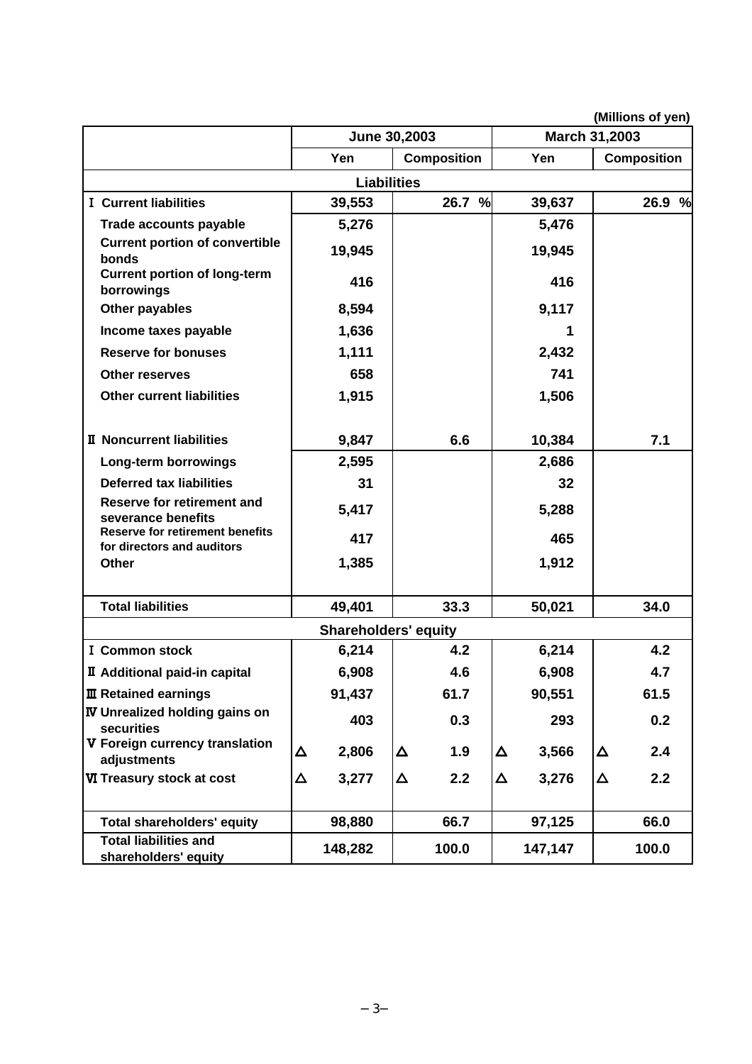|                                                                      |                    | June 30,2003                |   |                    |   | March 31,2003 |   | (Millions of yen)  |
|----------------------------------------------------------------------|--------------------|-----------------------------|---|--------------------|---|---------------|---|--------------------|
|                                                                      |                    | Yen                         |   | <b>Composition</b> |   | Yen           |   | <b>Composition</b> |
|                                                                      | <b>Liabilities</b> |                             |   |                    |   |               |   |                    |
| <b>I</b> Current liabilities                                         |                    | 39,553                      |   | 26.7 %             |   | 39,637        |   | 26.9 %             |
| Trade accounts payable                                               |                    | 5,276                       |   |                    |   | 5,476         |   |                    |
| <b>Current portion of convertible</b><br>bonds                       |                    | 19,945                      |   |                    |   | 19,945        |   |                    |
| <b>Current portion of long-term</b><br>borrowings                    |                    | 416                         |   |                    |   | 416           |   |                    |
| Other payables                                                       |                    | 8,594                       |   |                    |   | 9,117         |   |                    |
| Income taxes payable                                                 |                    | 1,636                       |   |                    |   | 1             |   |                    |
| <b>Reserve for bonuses</b>                                           |                    | 1,111                       |   |                    |   | 2,432         |   |                    |
| <b>Other reserves</b>                                                |                    | 658                         |   |                    |   | 741           |   |                    |
| <b>Other current liabilities</b>                                     |                    | 1,915                       |   |                    |   | 1,506         |   |                    |
| <b>II</b> Noncurrent liabilities                                     |                    | 9,847                       |   | 6.6                |   | 10,384        |   | 7.1                |
| Long-term borrowings                                                 |                    | 2,595                       |   |                    |   | 2,686         |   |                    |
| <b>Deferred tax liabilities</b>                                      |                    | 31                          |   |                    |   | 32            |   |                    |
| <b>Reserve for retirement and</b><br>severance benefits              |                    | 5,417                       |   |                    |   | 5,288         |   |                    |
| <b>Reserve for retirement benefits</b><br>for directors and auditors |                    | 417                         |   |                    |   | 465           |   |                    |
| <b>Other</b>                                                         |                    | 1,385                       |   |                    |   | 1,912         |   |                    |
| <b>Total liabilities</b>                                             |                    | 49,401                      |   | 33.3               |   | 50,021        |   | 34.0               |
|                                                                      |                    | <b>Shareholders' equity</b> |   |                    |   |               |   |                    |
| <b>I</b> Common stock                                                |                    | 6,214                       |   | 4.2                |   | 6,214         |   | 4.2                |
| <b>II</b> Additional paid-in capital                                 |                    | 6,908                       |   | 4.6                |   | 6,908         |   | 4.7                |
| <b>III Retained earnings</b>                                         |                    | 91,437                      |   | 61.7               |   | 90,551        |   | 61.5               |
| <b>IV Unrealized holding gains on</b><br>securities                  |                    | 403                         |   | 0.3                |   | 293           |   | 0.2                |
| V Foreign currency translation<br>adjustments                        | Δ                  | 2,806                       | Δ | 1.9                | Δ | 3,566         | Δ | 2.4                |
| VI Treasury stock at cost                                            | $\Delta$           | 3,277                       | Δ | 2.2                | Δ | 3,276         | Δ | 2.2                |
| <b>Total shareholders' equity</b>                                    |                    | 98,880                      |   | 66.7               |   | 97,125        |   | 66.0               |
| <b>Total liabilities and</b><br>shareholders' equity                 |                    | 148,282                     |   | 100.0              |   | 147,147       |   | 100.0              |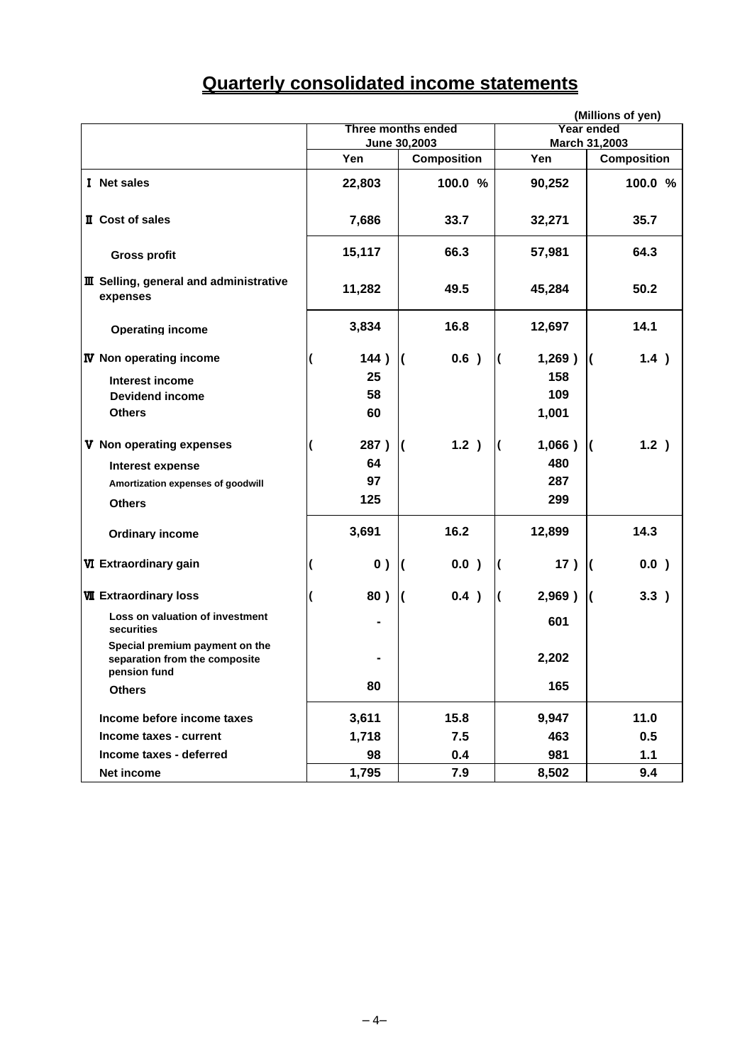# **Quarterly consolidated income statements**

|                                                                                 |        |                           | (Millions of yen)           |                       |  |  |
|---------------------------------------------------------------------------------|--------|---------------------------|-----------------------------|-----------------------|--|--|
|                                                                                 |        | <b>Three months ended</b> | Year ended<br>March 31,2003 |                       |  |  |
|                                                                                 |        | June 30,2003              |                             |                       |  |  |
|                                                                                 | Yen    | <b>Composition</b>        | Yen                         | <b>Composition</b>    |  |  |
| I Net sales                                                                     | 22,803 | 100.0 %                   | 90,252                      | 100.0 %               |  |  |
| <b>II</b> Cost of sales                                                         | 7,686  | 33.7                      | 32,271                      | 35.7                  |  |  |
| <b>Gross profit</b>                                                             | 15,117 | 66.3                      | 57,981                      | 64.3                  |  |  |
| <b>III</b> Selling, general and administrative<br>expenses                      | 11,282 | 49.5                      | 45,284                      | 50.2                  |  |  |
| <b>Operating income</b>                                                         | 3,834  | 16.8                      | 12,697                      | 14.1                  |  |  |
| <b>IV</b> Non operating income                                                  | 144)   | 0.6)                      | 1,269)<br>(                 | 1.4)<br>K             |  |  |
| Interest income                                                                 | 25     |                           | 158                         |                       |  |  |
| <b>Devidend income</b>                                                          | 58     |                           | 109                         |                       |  |  |
| <b>Others</b>                                                                   | 60     |                           | 1,001                       |                       |  |  |
| V Non operating expenses                                                        | 287)   | 1.2)<br>$\overline{ }$    | 1,066)                      | 1.2)<br>K             |  |  |
| Interest expense                                                                | 64     |                           | 480                         |                       |  |  |
| Amortization expenses of goodwill                                               | 97     |                           | 287                         |                       |  |  |
| <b>Others</b>                                                                   | 125    |                           | 299                         |                       |  |  |
| <b>Ordinary income</b>                                                          | 3,691  | 16.2                      | 12,899                      | 14.3                  |  |  |
| VI Extraordinary gain                                                           | 0)     | 0.0)                      | 17)                         | 0.0)<br>$\mathcal{I}$ |  |  |
| <b>WI</b> Extraordinary loss                                                    | 80)    | 0.4)                      | 2,969)<br>K                 | 3.3)<br>K             |  |  |
| Loss on valuation of investment<br>securities                                   |        |                           | 601                         |                       |  |  |
| Special premium payment on the<br>separation from the composite<br>pension fund |        |                           | 2,202                       |                       |  |  |
| <b>Others</b>                                                                   | 80     |                           | 165                         |                       |  |  |
| Income before income taxes                                                      | 3,611  | 15.8                      | 9,947                       | 11.0                  |  |  |
| Income taxes - current                                                          | 1,718  | 7.5                       | 463                         | 0.5                   |  |  |
| Income taxes - deferred                                                         | 98     | 0.4                       | 981                         | $1.1$                 |  |  |
| Net income                                                                      | 1,795  | 7.9                       | 8,502                       | 9.4                   |  |  |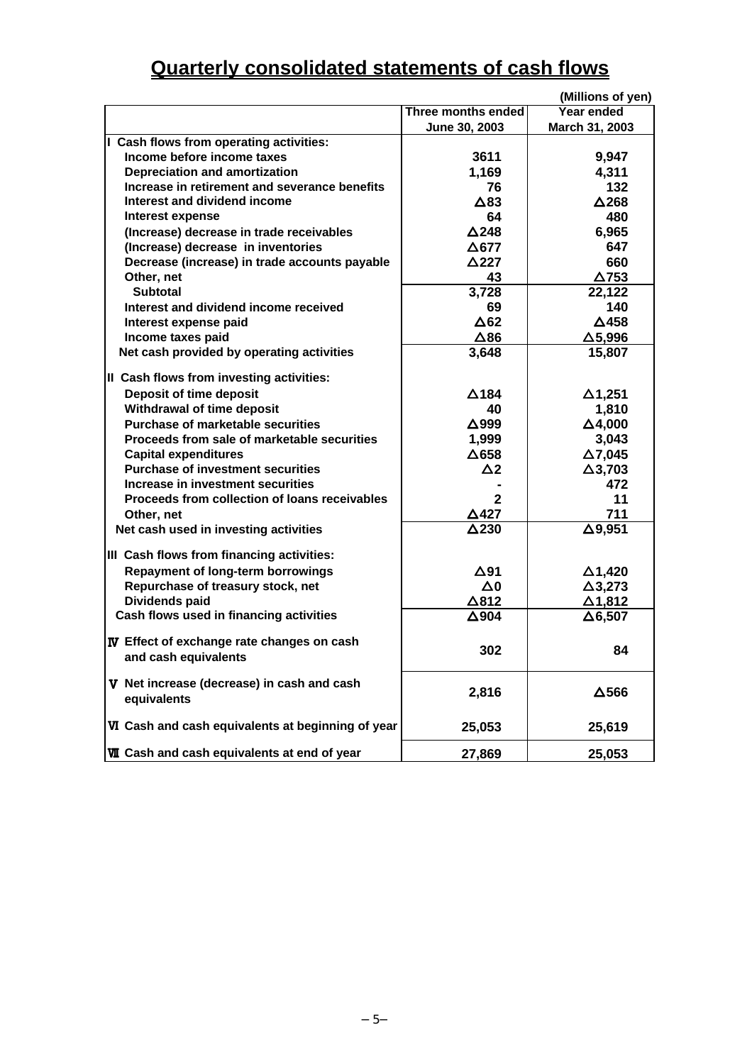# **Quarterly consolidated statements of cash flows**

|                                                                                  |                                 | (Millions of yen) |
|----------------------------------------------------------------------------------|---------------------------------|-------------------|
|                                                                                  | Three months ended              | Year ended        |
|                                                                                  | June 30, 2003                   | March 31, 2003    |
| I Cash flows from operating activities:                                          |                                 |                   |
| Income before income taxes                                                       | 3611                            | 9,947             |
| Depreciation and amortization                                                    | 1,169                           | 4,311             |
| Increase in retirement and severance benefits                                    | 76                              | 132               |
| Interest and dividend income                                                     | $\triangle$ 83                  | $\Delta$ 268      |
| Interest expense                                                                 | 64                              | 480               |
| (Increase) decrease in trade receivables                                         | $\Delta$ 248                    | 6,965             |
| (Increase) decrease in inventories                                               | $\Delta$ 677                    | 647               |
| Decrease (increase) in trade accounts payable                                    | $\triangle$ 227                 | 660               |
| Other, net                                                                       | 43                              | $\Delta$ 753      |
| <b>Subtotal</b>                                                                  | 3,728                           | 22,122            |
| Interest and dividend income received                                            | 69                              | 140               |
| Interest expense paid                                                            | $\Delta$ 62                     | $\Delta$ 458      |
| Income taxes paid                                                                | $\Delta$ 86                     | $\Delta$ 5,996    |
| Net cash provided by operating activities                                        | 3,648                           | 15,807            |
|                                                                                  |                                 |                   |
| II Cash flows from investing activities:                                         |                                 |                   |
| Deposit of time deposit                                                          | $\Delta$ 184                    | $\Delta$ 1,251    |
| Withdrawal of time deposit                                                       | 40                              | 1,810             |
| Purchase of marketable securities<br>Proceeds from sale of marketable securities | $\Delta$ 999                    | $\Delta$ 4,000    |
|                                                                                  | 1,999                           | 3,043             |
| <b>Capital expenditures</b>                                                      | $\Delta$ 658                    | $\Delta$ 7,045    |
| <b>Purchase of investment securities</b><br>Increase in investment securities    | $\Delta$ 2                      | $\Delta$ 3,703    |
|                                                                                  | $\mathbf{2}$                    | 472               |
| Proceeds from collection of loans receivables                                    |                                 | 11<br>711         |
| Other, net                                                                       | $\triangle$ 427<br>$\Delta$ 230 |                   |
| Net cash used in investing activities                                            |                                 | $\Delta$ 9,951    |
| III Cash flows from financing activities:                                        |                                 |                   |
| <b>Repayment of long-term borrowings</b>                                         | $\Delta$ 91                     | $\Delta$ 1,420    |
| Repurchase of treasury stock, net                                                | $\Delta 0$                      | $\Delta$ 3,273    |
| Dividends paid                                                                   | $\Delta$ 812                    | $\Delta$ 1,812    |
| Cash flows used in financing activities                                          | $\Delta$ 904                    | $\Delta$ 6,507    |
|                                                                                  |                                 |                   |
| IV Effect of exchange rate changes on cash                                       | 302                             | 84                |
| and cash equivalents                                                             |                                 |                   |
| V Net increase (decrease) in cash and cash                                       |                                 |                   |
| equivalents                                                                      | 2,816                           | $\Delta$ 566      |
|                                                                                  |                                 |                   |
| VI Cash and cash equivalents at beginning of year                                | 25,053                          | 25,619            |
|                                                                                  |                                 |                   |
| <b>WI</b> Cash and cash equivalents at end of year                               | 27,869                          | 25,053            |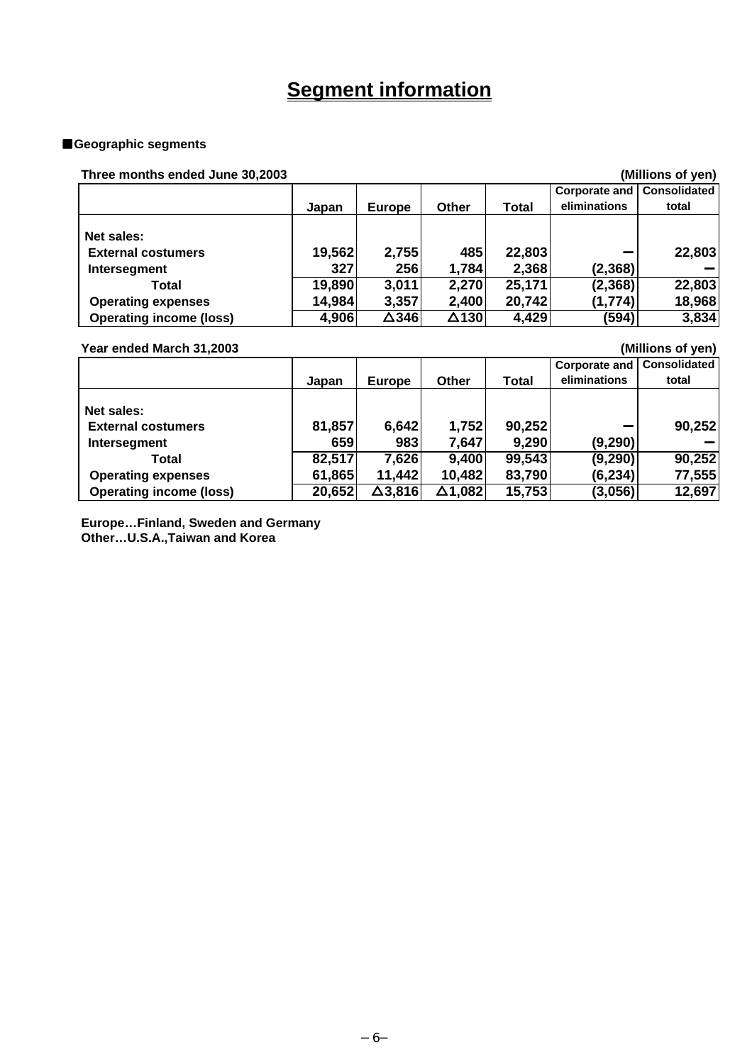# **Segment information**

### ■**Geographic segments**

# **Three months ended June 30,2003 (Millions of yen)**

| <u>THES MONUTES CHUSU JUNG JU, ZUUJ</u> |              |                  |       |                                |                                                                       |
|-----------------------------------------|--------------|------------------|-------|--------------------------------|-----------------------------------------------------------------------|
|                                         |              |                  |       | <b>Corporate and</b>           | <b>Consolidated</b>                                                   |
| Japan                                   | Europe       | <b>Other</b>     | Total | eliminations                   | total                                                                 |
|                                         |              |                  |       |                                |                                                                       |
|                                         |              |                  |       |                                |                                                                       |
|                                         | 2,755        | 485              |       |                                | 22,803                                                                |
| 327                                     | 256          | 1,784            |       | (2, 368)                       |                                                                       |
|                                         | 3,011        |                  |       | (2, 368)                       | 22,803                                                                |
| 14,984                                  | 3,357        |                  |       | (1,774)                        | 18,968                                                                |
| 4,906                                   | $\Delta$ 346 |                  |       | (594)                          | 3,834                                                                 |
|                                         |              | 19,562<br>19,890 |       | 2,270<br>2,400<br>$\Delta$ 130 | ן ויוסע וט פווטווויון<br>22,803<br>2,368<br>25,171<br>20,742<br>4,429 |

### **Year ended March 31,2003 (Millions of yen)**

|                                |        |                |         |        | <b>Corporate and   Consolidated</b> |        |
|--------------------------------|--------|----------------|---------|--------|-------------------------------------|--------|
|                                | Japan  | <b>Europe</b>  | Other   | Total  | eliminations                        | total  |
|                                |        |                |         |        |                                     |        |
| Net sales:                     |        |                |         |        |                                     |        |
| <b>External costumers</b>      | 81,857 | 6,642          | 1,752   | 90,252 |                                     | 90,252 |
| Intersegment                   | 659    | 983            | 7,647   | 9,290  | (9,290)                             |        |
| Total                          | 82,517 | 7,626          | 9,400   | 99,543 | (9, 290)                            | 90,252 |
| <b>Operating expenses</b>      | 61,865 | 11,442         | 10,482  | 83,790 | (6, 234)                            | 77,555 |
| <b>Operating income (loss)</b> | 20,652 | $\Delta$ 3,816 | ∆1.082l | 15,753 | (3,056)                             | 12,697 |

**Europe…Finland, Sweden and Germany Other…U.S.A.,Taiwan and Korea**